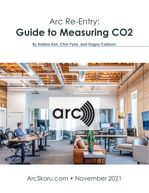# Arc Re-Entry: **Guide to Measuring CO2**

**By Kristina Koh, Chris Pyke, and Dagny Carlsson**



# ArcSkoru.com • November 2021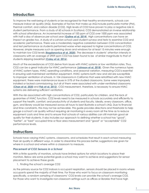# **Introduction**

To improve the well-being of students or be recognized for their healthy environments, schools can measure indoor air quality (IAQ). Examples of factors that make up IAQ include particulate matter (PM), thermal comfort, and carbon dioxide (CO2). High levels of CO2 have proven to play a negative role in student performance. From a study of 60 schools in Scotland, CO2 demonstrated an inverse relationship with school attendance. An incremental increase of 100 ppm of CO2 over 1000 ppm was associated with half a day of absence per school year (**[Gaihre et al. 2014](https://pubmed.ncbi.nlm.nih.gov/25117890/)**). High concentrations can have an impact on grades too. A study of a Latvian school used student surveys and tests to examine CO2 and academic performance. There was a moderately negative correlation between CO2 concentration and test performance as students performed worse when exposed to higher concentrations of CO2. However, simple measures such as opening doors and windows for at least 15 minutes were enough to maintain low CO2 levels (**[Bogdanovica et al. 2020](https://www.mdpi.com/1996-1073/13/22/6099)**). The decrease in students' attention intensity in classrooms with an average of 2909 ppm CO2 has been found to be of similar magnitude to that of students skipping breakfast (**[Coley et al. 2016](https://www.tandfonline.com/doi/abs/10.1080/14733315.2007.11683770)**).

Much of the exceedances of CO2 derive from issues with HVAC systems or low ventilation rates. Thus, CO2 can be a great indicator for HVAC performance (**[Johnson et al. 2018](https://www.sciencedirect.com/science/article/abs/pii/S0360132318301756)**). Given the numerous types of HVAC system types, HVAC operating conditions, and seasonal variation, measuring CO2 is essential in ensuring well-maintained ventilation equipment. HVAC systems both new and old are susceptible to improper ventilation of schools. In 104 classrooms in California that were retrofitted with new HVAC equipment, there were maintenance issues in 51% of the studied classrooms. Some were improperly installed or lacked commissioning, but all of them were associated with under-ventilated classrooms (**[Chan et al. 2020](https://www.sciencedirect.com/science/article/abs/pii/S0360132319306365)** and **[Fisk et al. 2012](https://www.osti.gov/biblio/1171485)**). CO2 measurement, therefore, is necessary to ensure HVAC systems are delivering sufficient ventilation.

With the risk associated with high concentrations of CO2, particularly for children, and the lack of guarantee of HVAC function, CO2 levels need to be measured in schools accurately and efficiently to support the health, comfort, and productivity of students and faculty. Ideally, every classroom, office, gym, and library would be measured across all hours to best illustrate a school's IAQ. Due to financial and time constraints, this may not be achievable. This guide provides directions and thresholds to help gauge a school's air quality without requiring air monitoring in every room all the time as to reduce equipment costs and time and to ensure that schools of various abilities can still maintain good air quality for their students. It also includes our approach to defining whether a school has "good", "better", or "best" occupied time or floor area measurement and "good" or "acceptable" CO2 performance levels.

## **Instructions**

Schools have varying HVAC systems, classrooms, and schedules that result in each school measuring their air quality in different ways. In order to streamline this process better, suggestions are given for where in a school and where within a classroom to measure.

#### *Placement of CO2 Sensors in a School*

With a finite quantity of monitors, schools have limited options for which locations to place their monitors. Below are some potential goals a school may want to achieve and suggestions for sensor placement to achieve these goals.

1. Finding the school's average CO2

As the primary source for CO2 indoors is occupant respiration, sensors should be placed in rooms where occupants spend the majority of their time. For those who want to focus on classroom monitoring specifically, a random sampling of classrooms' CO2 levels can provide the school's average CO2. For those who want to investigate non-classroom settings such as offices or libraries that have high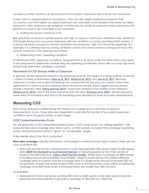occupancy times, monitors can be placed both in random classrooms and in those non-classrooms.

If users want to sample based on occupancy, they can also weight classrooms based on their occupancy such that higher occupied classrooms are more likely to be sampled than lower occupied classrooms. After classrooms are weighted, monitors can be randomly deployed where classrooms with greater occupancy are more likely to be measured.

2. Finding the school's maximum CO2

Best practices would be to sample spaces with high occupancy and/or low ventilation rates. Maximum CO2 levels are found in occupied classrooms with low ventilation or poorly operating HVAC systems. If a space has peak occupancy and low ventilation simultaneously, high CO2 should be expected. For example, if a cafeteria had no running ventilation system and closed windows during lunch hours, the school's maximum CO2 could be found there.

3. Determining HVAC operating conditions

To determine HVAC operating conditions, measurements in air ducts under the same HVAC zone need to be compared to determine whether they are operating as intended. Areas with unusually high levels should have their HVAC installation checked.

#### *Placement of CO2 Sensors within a Classroom*

In general, sensors should be placed in the breathing zone (ie. the height of a sitting student) of around 1 meter (3.3 feet) as illustrated in **[Stazi et al. 2017](https://www.sciencedirect.com/science/article/abs/pii/S0378778817300592)**, **[Razali et al. 2015](https://www.sciencedirect.com/science/article/abs/pii/S0360132315000268)**, and **[Jan et al. 2017](https://www.sciencedirect.com/science/article/abs/pii/S0360132316304322)**. Because classroom activities and student tampering can compromise the accuracy of a sensor, there is less agreement on where exactlya classroom sensor should be placed. Some suggest placing sensors beside a teacher's desk (**[Deng and Lau 2019](https://www.sciencedirect.com/science/article/abs/pii/S0360132319302902)**), away from windows in the middle of the classroom (**[Branco et al. 2015](https://www.sciencedirect.com/science/article/abs/pii/S001393511500078X)**), and in the back wall away from the door (**[Fromme et al. 2007](https://www.sciencedirect.com/science/article/abs/pii/S1352231006009046)**). Sensors placed in lower areas of movement and wind in the breathing zone are ideal for more accurate measurements.

## **Measuring CO2**

CO2 will be assessed by determining the fraction of occupied space and time covered by measurements. In turn, these data are interpreted to estimate the fraction of occupied hours when conditions are in the good, better, or best ranges.

#### *CO2 Comprehensiveness Score*

Arc will generate a CO2 Comprehensiveness Score ("CO2 Comp Score") by adding together 1-100 scores for floor area coverage (floor area, rooms, or HVAC zones), occupied time coverage (operating hours), and performance (time in "good" or "acceptable" range).

A few details about how this is computed:

**Floor area coverage** indicates the fraction of the project covered by each type of sensor. There are two ways to achieve this.

1. Users can assume that an individual sensor covers approximately 500 square meters (5,280 square feet) (**[RESET Air Standard for Commercial Interiors](https://www.reset.build/download/RESET_Standard_v2_2_2_180131.pdf)**) or following guidance from their vendor or product manufacturer (e.g., **[arbnco Best Practice Guide](https://arbnwell.com/wp-content/uploads/2020/05/Best-Practice-Guide-20200512-003.pdf)**). While sensor coverage will differ based on building layouts and installation practicalities, projects should aim for the smallest effective coverage area of a sensor, and the coverage area of a single sensor should not exceed 500 m2. For example, at least one sensor in each HVAC zone or enclosed room could suffice for adequate coverage, provided those zones or enclosed rooms are smaller than 500 m2 each.

As examples:

• Measurements from one sensor covering 500 m2 in a 5,000 square meter open space would be presumed and documented to provide a coverage of 10% (500 m2 / 5000 m2).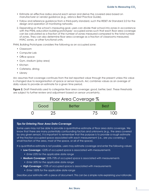- Estimate an effective radius around each sensor and derive the covered area based on manufacturer or vendor guidance (e.g., arbnco [Best Practice Guide\)](https://arbnwell.com/wp-content/uploads/2020/05/Best-Practice-Guide-20200512-003.pdf).
- Follow and reference guidance from a third-party standard, such the RESET Air Standard 2.0 for the design and operation of monitoring networks.
- 2. Depending on the school's measuring goal, users can divide their school into zones in accordance with the PNNL education building prototypes' occupied zones such that each floor area coverage can be calculated as a fraction of the number of zones measured compared to the total number of zones. They can also determine floor area coverage as a fraction of classrooms measured, HVAC zones, or other functional units.

PNNL Building Prototypes considers the following as an occupied zone:

- Classroom
- Computer Lab
- Office space
- Gym, stadium (play area)
- Kitchen
- Cafeteria, dining
- Library

Arc assumes that coverage continues from the last reported value through the present unless this value is changed due to reorganisation of space or sensor layouts. Arc combines values as an average of daily values to provide an estimate for a given time period.

Figure 2. Draft thresholds used to categorize floor area coverage: good, better, best. These thresholds are subject to further review and adjustment based on sensor uncertainty.



#### *Tips for Entering Floor Area Data Coverage*

Some users may not be able to provide a quantitative estimate of floor area data coverage. We know that there are many potentially confounding factors and unknowns (e.g., the area covered by any given sensor). It is important to remember that the purpose is to provide a rough estimate of the fraction occupied space associated with each measurement (i.e., are you covering a small fraction of the area, most of the space, or all of the space).

If a quantitative estimate is not possible, users may estimate coverage and enter the following values:

- **Low Coverage:** <25% of occupied space is associated with measurements
	- *Enter 25% for the applicable date range*
- **Medium Coverage:** 25%-75% of occupied space is associated with measurements
	- *Enter 50% for the applicable date range*
- **High Coverage:** >75% of occupied space is associated with measurements
	- *Enter 100% for the applicable date range*

Describe your estimate with a piece of document. This can be a simple note explaining your rationale.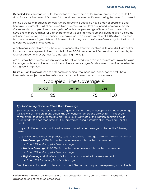**Occupied time coverage** indicates the fraction of time covered by IAQ measurements during the last 90 days. For Arc, a time period is "covered" if at least one measurement is taken during the period in a project.

For the purpose of measuring schools, we are assuming 8 occupied hours a day of operations and 1 hour as a fundamental unit of occupied time coverage (a.k.a., freshness period for measurements). Consequently, occupied time coverage is defined as the percentage of hours within a period that have one or more readings for a given parameter. Additional measurements during a given period do not increase coverage (i.e., occupied time coverage has a maximum value of 100% which is satisfied by at least one reading each hour). This means that 1 day has a maximum of 8 readings that will count towards occupied time coverage.

A high measurement rate, e.g., those recommended by standards such as WELL and RESET, are better for a richer, more representative characterisation of CO2 measurement. To keep this metric simple, Arc requires a report only every hour (i.e., the reporting interval).

Arc assumes that coverage continues from the last reported value through the present unless this value is changed with new value. Arc combines values as an average of daily values to provide an estimate for a given time period.

**Figure 2.** Draft thresholds used to categorize occupied time measured: good, better, best. These thresholds are subject to further review and adjustment based on sensor uncertainty.



#### *Tips for Entering Occupied Time Data Coverage*

Some users may not be able to provide a quantitative estimate of occupied time data coverage. We know that there are many potentially confounding factors and unknowns. It is important to remember that the purpose is to provide a rough estimate of the fraction occupied hours associated with each measurement (i.e., are you covering a small fraction, most hours, or all of them).

If a quantitative estimate is not possible, users may estimate coverage and enter the following values:

If a quantitative estimate is not possible, users may estimate coverage and enter the following values:

- **Low Coverage:** <25% of occupied hours are associated with a measurement
	- *Enter 25% for the applicable date range.*
- **Medium Coverage:** 25%-75% of occupied hours are associated with a measurement
	- *Enter 50% for the applicable date range.*
- **High Coverage:** >75% of occupied hours are associated with a measurement
	- *Enter 100% for the applicable date range.*

Describe your estimate with a piece of document. This can be a simple note explaining your rationale.

**Performance** is divided by thresholds into three categories: good, better, and best. Each period is assigned to one of the three categories.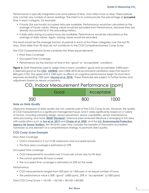Performance is typically integrated over some period of time, most often hours or days. These periods may contain any number of sensor readings. The intent is to communicate the percentage of **occupied** time in each category. For example:

- If hourly (for sub-hourly) occupied data are available, Performance would be calculated as the average of hourly values. Missing values would be excluded from Performance, because they are already accounted for in the preceding metrics.
- If daily data during occupied hours are available, Performance would be calculated as the average of daily values. Again, missing values would be excluded.

The result would be the average fraction of periods in each of the three categories over the last 90 days. Data older than 90 days do not contribute to the CO2 Comprehensiveness Comp Score.

The CO2 Comprehensive Score combines the three equal elements:

- Floor Area Coverage
- Occupied Time Coverage
- Performance (as the fraction of time in the "good" or "acceptable" condition)

**Figure 3.** Draft thresholds used to assign time in each condition: good and acceptable. 0-800 ppm is deemed good as the **[CDC](https://www.cdc.gov/coronavirus/2019-ncov/community/ventilation.html)**, **[ASHRAE](https://www.ashrae.org/File%20Library/Technical%20Resources/Standards%20and%20Guidelines/Standards%20Addenda/62.1-2016/62_1_2016_d_20180302.pdf)**, and CIBSE 2018 all recommend ventilation rates that result in 800 ppm CO2. The upper limit is 1000 ppm as effects on cognitive performance begin for short term exposure exceeding 1000 ppm (**[Azuma et al. 2018](https://www.sciencedirect.com/science/article/pii/S0160412018312807)**). These thresholds are subject to further review and adjustment based on sensor uncertainty.



#### *Note on Data Quality*

Objective measures of data quality are not currently part of the CO2 Comp Score. However, the quality of CO2 measurements is a significant management issue, and it varies significantly based on a variety of factors, including sampling design, sensor placement, sensor capabilities, sensor maintenance, data processing, and more (**[RESET Standard](https://reset.build)**[\)](http://www.apple.com). Extensive peer-reviewed literature is emerging in this area with publications such as **[Sun et al. 2019](https://www.ncbi.nlm.nih.gov/pmc/articles/PMC6806626/)** and **[Chojer et al. 2020](https://www.sciencedirect.com/science/article/pii/S0048969720318982)**, and the **[U.S. Environmental Protection](https://www.epa.gov/air-sensor-toolbox/evaluation-emerging-air-sensor-performance)  [Agency Air Sensor Toolbox](https://www.epa.gov/air-sensor-toolbox/evaluation-emerging-air-sensor-performance)**. Arc Re-Entry users may consider the benefits of third-party accredited hardware as one element of a comprehensive strategy to promote data quality.

#### *CO2 Comp Score Example*

Floor Area Coverage

- CO2 is measured in 2 out of 20 classrooms and occupied spaces.
- The floor area coverage is estimated at 10%

Occupied Time coverage

- CO2 measurements occurred over 2 hours per school day for 90 days
- The school operates 40 hours a week
- The occupied time coverage is estimated at 25% for the week

Performance

- CO2 measurements ranged from 500 ppm to 1500 ppm in an equal number of hours.
- The performance value is 30% "good" (≤800 ppm), 20% in "acceptable" (≤1000 ppm)

Total CO2 Comp Score = 10/100 + 25/100 + 50/100 = 85/300